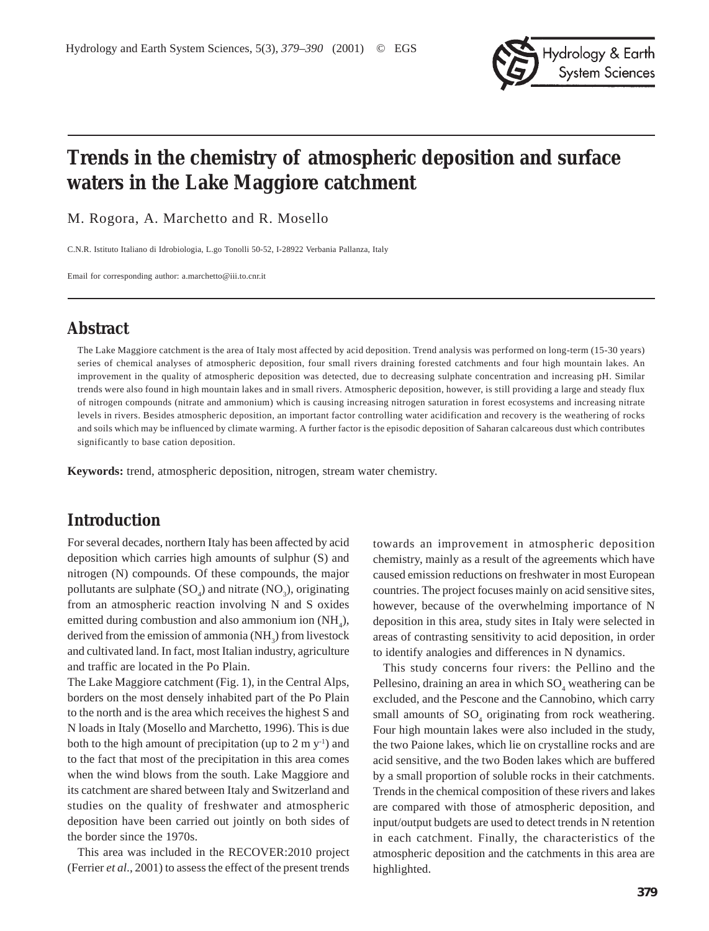

# **Trends in the chemistry of atmospheric deposition and surface waters in the Lake Maggiore catchment**

M. Rogora, A. Marchetto and R. Mosello

C.N.R. Istituto Italiano di Idrobiologia, L.go Tonolli 50-52, I-28922 Verbania Pallanza, Italy

Email for corresponding author: a.marchetto@iii.to.cnr.it

# **Abstract**

The Lake Maggiore catchment is the area of Italy most affected by acid deposition. Trend analysis was performed on long-term (15-30 years) series of chemical analyses of atmospheric deposition, four small rivers draining forested catchments and four high mountain lakes. An improvement in the quality of atmospheric deposition was detected, due to decreasing sulphate concentration and increasing pH. Similar trends were also found in high mountain lakes and in small rivers. Atmospheric deposition, however, is still providing a large and steady flux of nitrogen compounds (nitrate and ammonium) which is causing increasing nitrogen saturation in forest ecosystems and increasing nitrate levels in rivers. Besides atmospheric deposition, an important factor controlling water acidification and recovery is the weathering of rocks and soils which may be influenced by climate warming. A further factor is the episodic deposition of Saharan calcareous dust which contributes significantly to base cation deposition.

**Keywords:** trend, atmospheric deposition, nitrogen, stream water chemistry.

# **Introduction**

For several decades, northern Italy has been affected by acid deposition which carries high amounts of sulphur (S) and nitrogen (N) compounds. Of these compounds, the major pollutants are sulphate  $(SO_4)$  and nitrate  $(NO_3)$ , originating from an atmospheric reaction involving N and S oxides emitted during combustion and also ammonium ion  $(NH_4)$ , derived from the emission of ammonia  $(NH_3)$  from livestock and cultivated land. In fact, most Italian industry, agriculture and traffic are located in the Po Plain.

The Lake Maggiore catchment (Fig. 1), in the Central Alps, borders on the most densely inhabited part of the Po Plain to the north and is the area which receives the highest S and N loads in Italy (Mosello and Marchetto, 1996). This is due both to the high amount of precipitation (up to  $2 \text{ m y}^{-1}$ ) and to the fact that most of the precipitation in this area comes when the wind blows from the south. Lake Maggiore and its catchment are shared between Italy and Switzerland and studies on the quality of freshwater and atmospheric deposition have been carried out jointly on both sides of the border since the 1970s.

This area was included in the RECOVER:2010 project (Ferrier *et al*., 2001) to assess the effect of the present trends towards an improvement in atmospheric deposition chemistry, mainly as a result of the agreements which have caused emission reductions on freshwater in most European countries. The project focuses mainly on acid sensitive sites, however, because of the overwhelming importance of N deposition in this area, study sites in Italy were selected in areas of contrasting sensitivity to acid deposition, in order to identify analogies and differences in N dynamics.

This study concerns four rivers: the Pellino and the Pellesino, draining an area in which  $SO_4$  weathering can be excluded, and the Pescone and the Cannobino, which carry small amounts of  $SO_4$  originating from rock weathering. Four high mountain lakes were also included in the study, the two Paione lakes, which lie on crystalline rocks and are acid sensitive, and the two Boden lakes which are buffered by a small proportion of soluble rocks in their catchments. Trends in the chemical composition of these rivers and lakes are compared with those of atmospheric deposition, and input/output budgets are used to detect trends in N retention in each catchment. Finally, the characteristics of the atmospheric deposition and the catchments in this area are highlighted.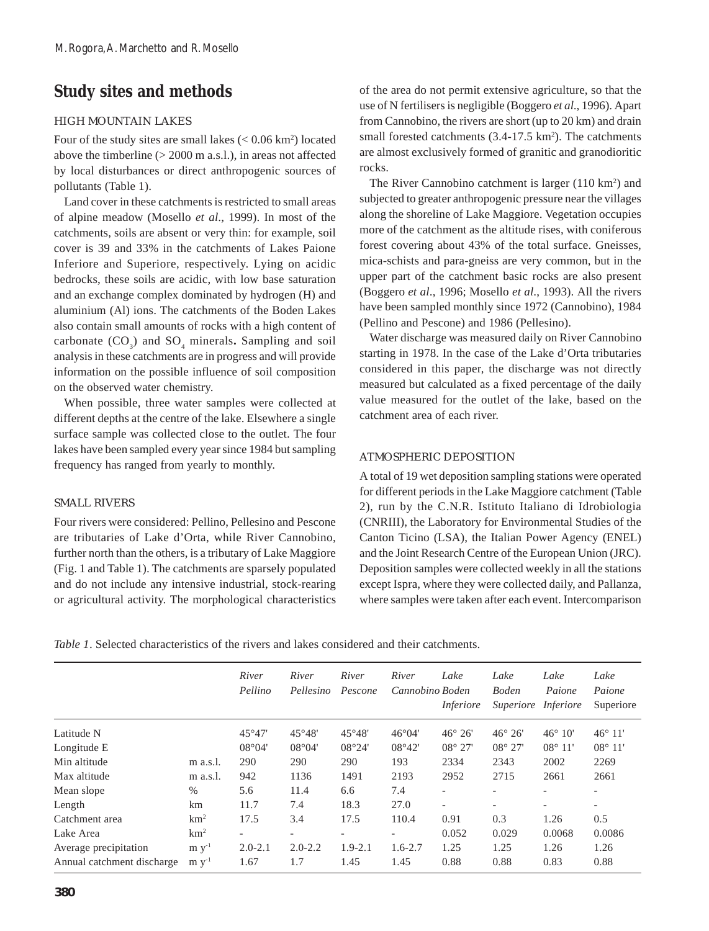# **Study sites and methods**

### HIGH MOUNTAIN LAKES

Four of the study sites are small lakes  $(< 0.06$  km<sup>2</sup>) located above the timberline (> 2000 m a.s.l.), in areas not affected by local disturbances or direct anthropogenic sources of pollutants (Table 1).

Land cover in these catchments is restricted to small areas of alpine meadow (Mosello *et al*., 1999). In most of the catchments, soils are absent or very thin: for example, soil cover is 39 and 33% in the catchments of Lakes Paione Inferiore and Superiore, respectively. Lying on acidic bedrocks, these soils are acidic, with low base saturation and an exchange complex dominated by hydrogen (H) and aluminium (Al) ions. The catchments of the Boden Lakes also contain small amounts of rocks with a high content of carbonate (CO<sub>3</sub>) and SO<sub>4</sub> minerals. Sampling and soil analysis in these catchments are in progress and will provide information on the possible influence of soil composition on the observed water chemistry.

When possible, three water samples were collected at different depths at the centre of the lake. Elsewhere a single surface sample was collected close to the outlet. The four lakes have been sampled every year since 1984 but sampling frequency has ranged from yearly to monthly.

#### SMALL RIVERS

Four rivers were considered: Pellino, Pellesino and Pescone are tributaries of Lake d'Orta, while River Cannobino, further north than the others, is a tributary of Lake Maggiore (Fig. 1 and Table 1). The catchments are sparsely populated and do not include any intensive industrial, stock-rearing or agricultural activity. The morphological characteristics of the area do not permit extensive agriculture, so that the use of N fertilisers is negligible (Boggero *et al*., 1996). Apart from Cannobino, the rivers are short (up to 20 km) and drain small forested catchments  $(3.4\n-17.5 \text{ km}^2)$ . The catchments are almost exclusively formed of granitic and granodioritic rocks.

The River Cannobino catchment is larger (110 km<sup>2</sup>) and subjected to greater anthropogenic pressure near the villages along the shoreline of Lake Maggiore. Vegetation occupies more of the catchment as the altitude rises, with coniferous forest covering about 43% of the total surface. Gneisses, mica-schists and para-gneiss are very common, but in the upper part of the catchment basic rocks are also present (Boggero *et al*., 1996; Mosello *et al*., 1993). All the rivers have been sampled monthly since 1972 (Cannobino), 1984 (Pellino and Pescone) and 1986 (Pellesino).

Water discharge was measured daily on River Cannobino starting in 1978. In the case of the Lake d'Orta tributaries considered in this paper, the discharge was not directly measured but calculated as a fixed percentage of the daily value measured for the outlet of the lake, based on the catchment area of each river.

## ATMOSPHERIC DEPOSITION

A total of 19 wet deposition sampling stations were operated for different periods in the Lake Maggiore catchment (Table 2), run by the C.N.R. Istituto Italiano di Idrobiologia (CNRIII), the Laboratory for Environmental Studies of the Canton Ticino (LSA), the Italian Power Agency (ENEL) and the Joint Research Centre of the European Union (JRC). Deposition samples were collected weekly in all the stations except Ispra, where they were collected daily, and Pallanza, where samples were taken after each event. Intercomparison

*Table 1*. Selected characteristics of the rivers and lakes considered and their catchments.

|                            |                 | River<br>Pellino         | River<br>Pellesino       | River<br>Pescone         | River<br>Cannobino Boden | Lake<br><i>Inferiore</i> | Lake<br><b>Boden</b><br>Superiore | Lake<br>Paione<br><i>Inferiore</i> | Lake<br>Paione<br>Superiore |
|----------------------------|-----------------|--------------------------|--------------------------|--------------------------|--------------------------|--------------------------|-----------------------------------|------------------------------------|-----------------------------|
| Latitude N                 |                 | $45^\circ 47'$           | $45^{\circ}48'$          | $45^{\circ}48'$          | $46^{\circ}04'$          | $46^{\circ} 26'$         | $46^\circ 26'$                    | $46^\circ 10'$                     | $46^{\circ} 11'$            |
| Longitude E                |                 | $08^{\circ}04'$          | $08^{\circ}04'$          | 08°24'                   | $08^{\circ}42'$          | $08^{\circ} 27'$         | $08^{\circ} 27'$                  | $08^{\circ} 11'$                   | $08^{\circ} 11'$            |
| Min altitude               | m a.s.l.        | 290                      | 290                      | 290                      | 193                      | 2334                     | 2343                              | 2002                               | 2269                        |
| Max altitude               | m a.s.l.        | 942                      | 1136                     | 1491                     | 2193                     | 2952                     | 2715                              | 2661                               | 2661                        |
| Mean slope                 | $\%$            | 5.6                      | 11.4                     | 6.6                      | 7.4                      | $\overline{\phantom{a}}$ |                                   | $\overline{\phantom{a}}$           |                             |
| Length                     | km              | 11.7                     | 7.4                      | 18.3                     | 27.0                     | $\overline{a}$           | $\overline{\phantom{a}}$          | $\overline{\phantom{a}}$           | $\overline{\phantom{a}}$    |
| Catchment area             | km <sup>2</sup> | 17.5                     | 3.4                      | 17.5                     | 110.4                    | 0.91                     | 0.3                               | 1.26                               | 0.5                         |
| Lake Area                  | km <sup>2</sup> | $\overline{\phantom{0}}$ | $\overline{\phantom{a}}$ | $\overline{\phantom{0}}$ | $\overline{\phantom{0}}$ | 0.052                    | 0.029                             | 0.0068                             | 0.0086                      |
| Average precipitation      | $m v^{-1}$      | $2.0 - 2.1$              | $2.0 - 2.2$              | $1.9 - 2.1$              | $1.6 - 2.7$              | 1.25                     | 1.25                              | 1.26                               | 1.26                        |
| Annual catchment discharge | $m v-1$         | 1.67                     | 1.7                      | 1.45                     | 1.45                     | 0.88                     | 0.88                              | 0.83                               | 0.88                        |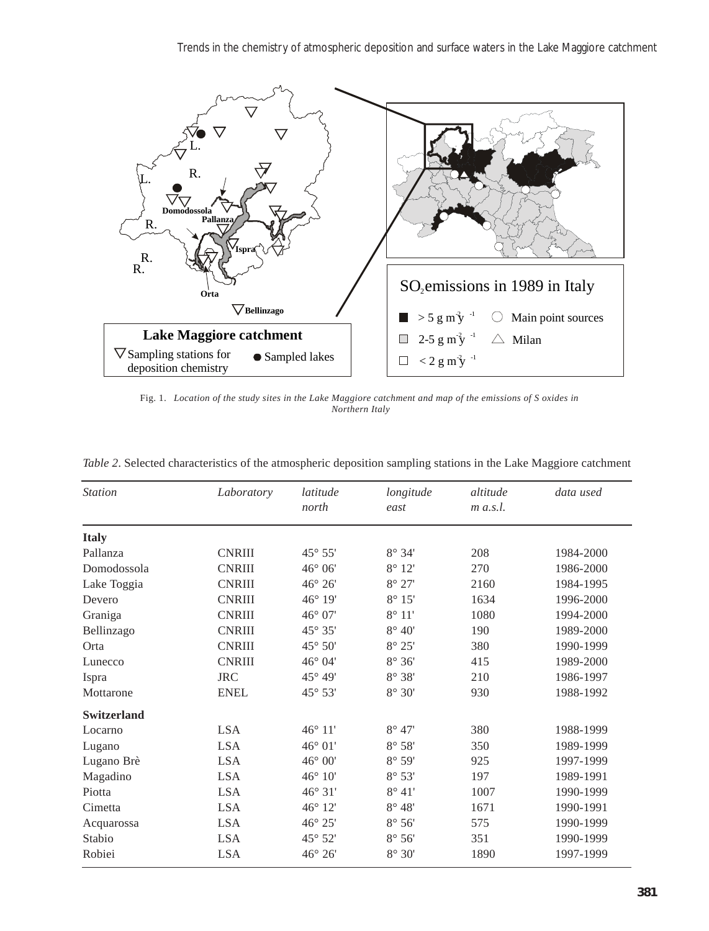

Fig. 1. *Location of the study sites in the Lake Maggiore catchment and map of the emissions of S oxides in Northern Italy*

| <b>Station</b>     | Laboratory    | latitude<br>north | longitude<br>east    | altitude<br>$m$ a.s.l. | data used |
|--------------------|---------------|-------------------|----------------------|------------------------|-----------|
| <b>Italy</b>       |               |                   |                      |                        |           |
| Pallanza           | <b>CNRIII</b> | 45° 55'           | $8^\circ 34'$        | 208                    | 1984-2000 |
| Domodossola        | <b>CNRIII</b> | 46° 06'           | $8^\circ$ 12'        | 270                    | 1986-2000 |
| Lake Toggia        | <b>CNRIII</b> | 46° 26'           | $8^\circ 27'$        | 2160                   | 1984-1995 |
| Devero             | <b>CNRIII</b> | 46° 19'           | $8^\circ 15'$        | 1634                   | 1996-2000 |
| Graniga            | <b>CNRIII</b> | $46^{\circ}$ 07'  | $8^\circ 11'$        | 1080                   | 1994-2000 |
| Bellinzago         | <b>CNRIII</b> | $45^{\circ} 35'$  | $8^\circ 40'$        | 190                    | 1989-2000 |
| Orta               | <b>CNRIII</b> | 45° 50'           | $8^\circ 25'$        | 380                    | 1990-1999 |
| Lunecco            | <b>CNRIII</b> | 46° 04'           | $8^\circ 36'$        | 415                    | 1989-2000 |
| Ispra              | <b>JRC</b>    | 45° 49'           | $8^\circ 38'$        | 210                    | 1986-1997 |
| Mottarone          | <b>ENEL</b>   | 45° 53'           | $8^\circ$ $30^\circ$ | 930                    | 1988-1992 |
| <b>Switzerland</b> |               |                   |                      |                        |           |
| Locarno            | <b>LSA</b>    | 46° 11'           | $8^\circ 47'$        | 380                    | 1988-1999 |
| Lugano             | <b>LSA</b>    | 46° 01'           | $8^\circ 58'$        | 350                    | 1989-1999 |
| Lugano Brè         | <b>LSA</b>    | 46° 00'           | $8^\circ 59'$        | 925                    | 1997-1999 |
| Magadino           | <b>LSA</b>    | 46° 10'           | $8^\circ 53'$        | 197                    | 1989-1991 |
| Piotta             | <b>LSA</b>    | 46° 31'           | $8^\circ 41'$        | 1007                   | 1990-1999 |
| Cimetta            | <b>LSA</b>    | 46° 12'           | $8^{\circ}$ 48'      | 1671                   | 1990-1991 |
| Acquarossa         | <b>LSA</b>    | 46° 25'           | $8^\circ 56'$        | 575                    | 1990-1999 |
| Stabio             | <b>LSA</b>    | 45° 52'           | $8^\circ 56'$        | 351                    | 1990-1999 |
| Robiei             | <b>LSA</b>    | 46° 26'           | $8^\circ 30'$        | 1890                   | 1997-1999 |

*Table 2*. Selected characteristics of the atmospheric deposition sampling stations in the Lake Maggiore catchment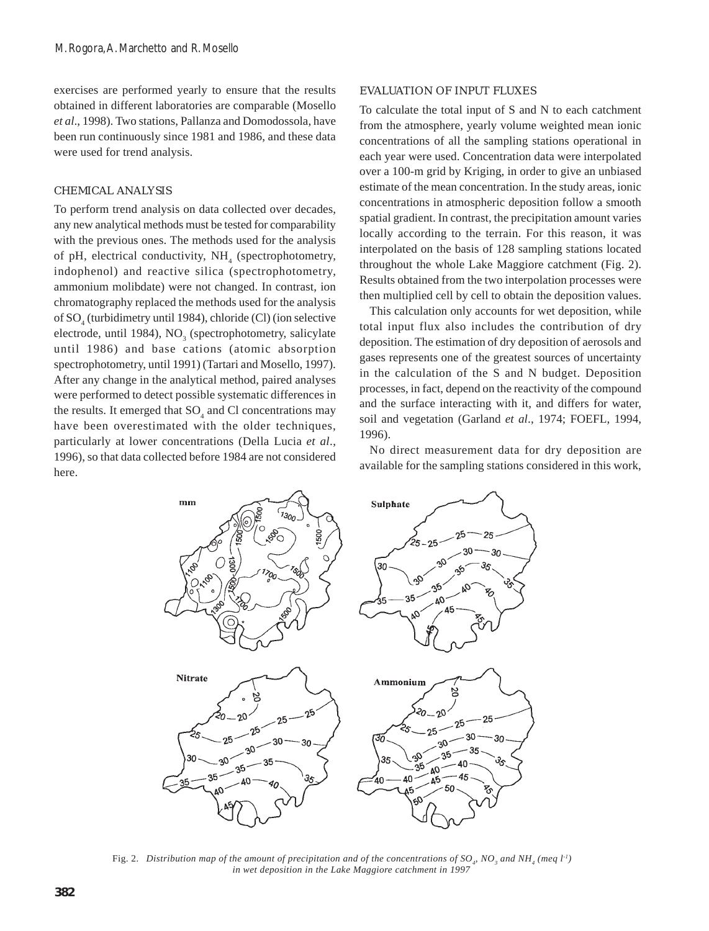exercises are performed yearly to ensure that the results obtained in different laboratories are comparable (Mosello *et al*., 1998). Two stations, Pallanza and Domodossola, have been run continuously since 1981 and 1986, and these data were used for trend analysis.

#### CHEMICAL ANALYSIS

To perform trend analysis on data collected over decades, any new analytical methods must be tested for comparability with the previous ones. The methods used for the analysis of pH, electrical conductivity,  $NH<sub>4</sub>$  (spectrophotometry, indophenol) and reactive silica (spectrophotometry, ammonium molibdate) were not changed. In contrast, ion chromatography replaced the methods used for the analysis of SO<sub>4</sub> (turbidimetry until 1984), chloride (Cl) (ion selective electrode, until 1984), NO<sub>3</sub> (spectrophotometry, salicylate until 1986) and base cations (atomic absorption spectrophotometry, until 1991) (Tartari and Mosello, 1997). After any change in the analytical method, paired analyses were performed to detect possible systematic differences in the results. It emerged that  $SO_4$  and Cl concentrations may have been overestimated with the older techniques, particularly at lower concentrations (Della Lucia *et al*., 1996), so that data collected before 1984 are not considered here.

#### EVALUATION OF INPUT FLUXES

To calculate the total input of S and N to each catchment from the atmosphere, yearly volume weighted mean ionic concentrations of all the sampling stations operational in each year were used. Concentration data were interpolated over a 100-m grid by Kriging, in order to give an unbiased estimate of the mean concentration. In the study areas, ionic concentrations in atmospheric deposition follow a smooth spatial gradient. In contrast, the precipitation amount varies locally according to the terrain. For this reason, it was interpolated on the basis of 128 sampling stations located throughout the whole Lake Maggiore catchment (Fig. 2). Results obtained from the two interpolation processes were then multiplied cell by cell to obtain the deposition values.

This calculation only accounts for wet deposition, while total input flux also includes the contribution of dry deposition. The estimation of dry deposition of aerosols and gases represents one of the greatest sources of uncertainty in the calculation of the S and N budget. Deposition processes, in fact, depend on the reactivity of the compound and the surface interacting with it, and differs for water, soil and vegetation (Garland *et al*., 1974; FOEFL, 1994, 1996).

No direct measurement data for dry deposition are available for the sampling stations considered in this work,



Fig. 2. Distribution map of the amount of precipitation and of the concentrations of SO<sub>4</sub>, NO<sub>3</sub> and NH<sub>4</sub> (meq l<sup>-1</sup>)  *in wet deposition in the Lake Maggiore catchment in 1997*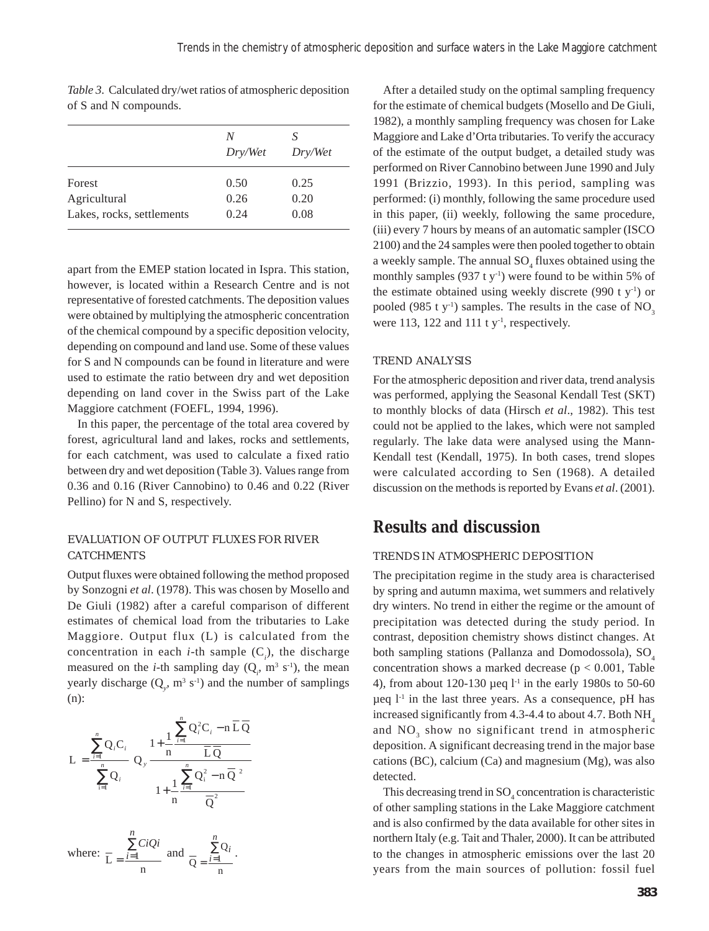|                           | N<br>Dry/Wet | S<br>Dry/Wet |
|---------------------------|--------------|--------------|
| Forest                    | 0.50         | 0.25         |
| Agricultural              | 0.26         | 0.20         |
| Lakes, rocks, settlements | 0.24         | 0.08         |

*Table 3*. Calculated dry/wet ratios of atmospheric deposition of S and N compounds.

apart from the EMEP station located in Ispra. This station, however, is located within a Research Centre and is not representative of forested catchments. The deposition values were obtained by multiplying the atmospheric concentration of the chemical compound by a specific deposition velocity, depending on compound and land use. Some of these values for S and N compounds can be found in literature and were used to estimate the ratio between dry and wet deposition depending on land cover in the Swiss part of the Lake Maggiore catchment (FOEFL, 1994, 1996).

In this paper, the percentage of the total area covered by forest, agricultural land and lakes, rocks and settlements, for each catchment, was used to calculate a fixed ratio between dry and wet deposition (Table 3). Values range from 0.36 and 0.16 (River Cannobino) to 0.46 and 0.22 (River Pellino) for N and S, respectively.

### EVALUATION OF OUTPUT FLUXES FOR RIVER CATCHMENTS

Output fluxes were obtained following the method proposed by Sonzogni *et al*. (1978). This was chosen by Mosello and De Giuli (1982) after a careful comparison of different estimates of chemical load from the tributaries to Lake Maggiore. Output flux (L) is calculated from the concentration in each *i*-th sample  $(C_i)$ , the discharge measured on the *i*-th sampling day  $(Q_i, m^3 s^{-1})$ , the mean yearly discharge  $(Q_y, m^3 s^{-1})$  and the number of samplings (n):

$$
L = \frac{\sum_{i=1}^{n} Q_i C_i}{\sum_{i=1}^{n} Q_i} Q_y \frac{1 + \frac{1}{n} \frac{\sum_{i=1}^{n} Q_i^2 C_i - n \overline{L} \overline{Q}}{\overline{L} \overline{Q}}}{1 + \frac{1}{n} \frac{\sum_{i=1}^{n} Q_i^2 - n \overline{Q}^2}{\overline{Q}^2}}
$$

where: 
$$
\frac{\sum_{i=1}^{n} CiQi}{n}
$$
 and 
$$
\frac{\sum_{i=1}^{n}Q_i}{n}
$$
.

After a detailed study on the optimal sampling frequency for the estimate of chemical budgets (Mosello and De Giuli, 1982), a monthly sampling frequency was chosen for Lake Maggiore and Lake d'Orta tributaries. To verify the accuracy of the estimate of the output budget, a detailed study was performed on River Cannobino between June 1990 and July 1991 (Brizzio, 1993). In this period, sampling was performed: (i) monthly, following the same procedure used in this paper, (ii) weekly, following the same procedure, (iii) every 7 hours by means of an automatic sampler (ISCO 2100) and the 24 samples were then pooled together to obtain a weekly sample. The annual  $SO_4$  fluxes obtained using the monthly samples  $(937 \t{ t y}^{-1})$  were found to be within 5% of the estimate obtained using weekly discrete (990 t  $y^{-1}$ ) or pooled (985 t y<sup>-1</sup>) samples. The results in the case of  $NO<sub>3</sub>$ were 113, 122 and 111 t  $y<sup>-1</sup>$ , respectively.

#### TREND ANALYSIS

For the atmospheric deposition and river data, trend analysis was performed, applying the Seasonal Kendall Test (SKT) to monthly blocks of data (Hirsch *et al*., 1982). This test could not be applied to the lakes, which were not sampled regularly. The lake data were analysed using the Mann-Kendall test (Kendall, 1975). In both cases, trend slopes were calculated according to Sen (1968). A detailed discussion on the methods is reported by Evans *et al*. (2001).

# **Results and discussion**

#### TRENDS IN ATMOSPHERIC DEPOSITION

The precipitation regime in the study area is characterised by spring and autumn maxima, wet summers and relatively dry winters. No trend in either the regime or the amount of precipitation was detected during the study period. In contrast, deposition chemistry shows distinct changes. At both sampling stations (Pallanza and Domodossola), SO<sub>4</sub> concentration shows a marked decrease ( $p < 0.001$ , Table 4), from about 120-130 µeq  $l<sup>-1</sup>$  in the early 1980s to 50-60  $\mu$ eq  $1<sup>-1</sup>$  in the last three years. As a consequence, pH has increased significantly from 4.3-4.4 to about 4.7. Both  $NH<sub>4</sub>$ and  $NO<sub>3</sub>$  show no significant trend in atmospheric deposition. A significant decreasing trend in the major base cations (BC), calcium (Ca) and magnesium (Mg), was also detected.

This decreasing trend in  $\mathrm{SO}_4$  concentration is characteristic of other sampling stations in the Lake Maggiore catchment and is also confirmed by the data available for other sites in northern Italy (e.g. Tait and Thaler, 2000). It can be attributed to the changes in atmospheric emissions over the last 20 years from the main sources of pollution: fossil fuel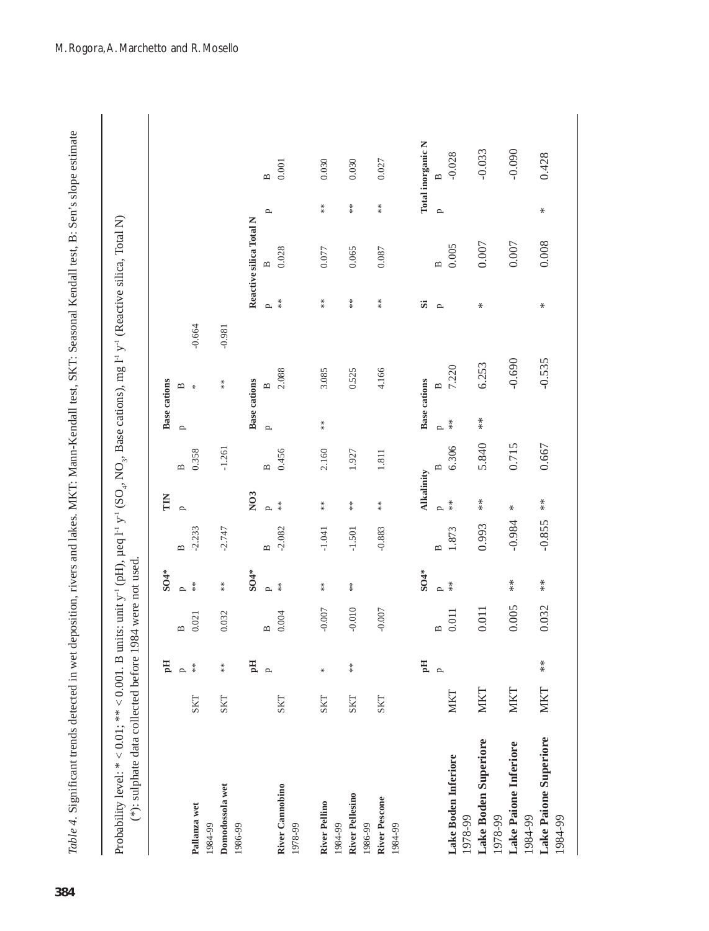| F<br>Tac<br>č<br>$\frac{1}{2}$<br>Ì<br>a<br>N<br>N<br>N<br>$\frac{1}{2}$<br>)<br>2<br>$\zeta$<br>ш.<br>П<br>ء<br>-<br>、<br>米米<br>ł | $\frac{1}{2}$<br>$\frac{1}{2}$<br>$\ddot{\phantom{0}}$<br>i<br>Said<br>ز ر |
|------------------------------------------------------------------------------------------------------------------------------------|----------------------------------------------------------------------------|
| $\tilde{\zeta}$                                                                                                                    | $*$ is currely defined that<br>20.101.01                                   |
| in a a las d                                                                                                                       |                                                                            |

|                                   |            | Hq           |              | <b>SO4*</b>          |                | E                                        |                   | <b>Base cations</b> |                          |          |              |                         |     |                   |
|-----------------------------------|------------|--------------|--------------|----------------------|----------------|------------------------------------------|-------------------|---------------------|--------------------------|----------|--------------|-------------------------|-----|-------------------|
|                                   |            | $\mathbf{p}$ | $\mathbf{a}$ | $\sim$               | $\mathbf{a}$   | $\overline{p}$                           | $\mathbf{\Xi}$    | $\mathbf{p}$        | ⋍                        |          |              |                         |     |                   |
| Pallanza wet<br>1984-99           | <b>SKT</b> | $*$          | 0.021        | $*$                  | $-2.233$       |                                          | 0.358             |                     | $\ast$                   | $-0.664$ |              |                         |     |                   |
| Domodossola wet<br>1986-99        | <b>SKT</b> | $*$          | 0.032        | $\stackrel{*}{\ast}$ | $-2.747$       |                                          | $-1.261$          |                     | $*$                      | $-0.981$ |              |                         |     |                   |
|                                   |            | Hq           |              | <b>SO4*</b>          |                | N <sub>03</sub>                          |                   | <b>Base cations</b> |                          |          |              | Reactive silica Total N |     |                   |
|                                   |            | $\mathbf{p}$ | $\mathbf{a}$ | $\sim$               | $\mathbf{a}$   | $\sim$                                   | $\mathbf{a}$      | $\mathbf{p}$        | $\mathbf{r}$             |          | $\mathbf{p}$ | $\mathbf{r}$            | p   | $\mathbf{r}$      |
| River Cannobino<br>1978-99        | <b>SKT</b> |              | 0.004        | $\frac{*}{*}$        | $-2.082$       | $*$                                      | 0.456             |                     | 2.088                    |          | $*$          | 0.028                   |     | 0.001             |
| <b>River Pellino</b><br>1984-99   | <b>SKT</b> | ₩            | $-0.007$     | $*$                  | $-1.041$       | $*$                                      | 2.160             | $*$                 | 3.085                    |          | $*$          | 0.077                   | $*$ | 0.030             |
| <b>River Pellesino</b><br>1986-99 | <b>SKT</b> | $*$          | $-0.010$     | $\stackrel{*}{*}$    | $-1.501$       | $*$                                      | 1.927             |                     | 0.525                    |          | $*$          | 0.065                   | $*$ | 0.030             |
| River Pescone<br>1984-99          | <b>SKT</b> |              | $-0.007$     |                      | $-0.883$       | $*$                                      | 1.811             |                     | 4.166                    |          | $*$          | 0.087                   | $*$ | 0.027             |
|                                   |            | Hq           |              | <b>SO4*</b>          |                | <b>Alkalinity</b>                        |                   | <b>Base cations</b> |                          |          | Si           |                         |     | Total inorganic N |
|                                   |            | $\mathbf{p}$ | $\mathbf{B}$ | $\overline{a}$       | $\overline{a}$ | p                                        | $\mathbf{\Omega}$ | p                   | $\mathbf{\underline{m}}$ |          | p            | $\overline{a}$          | p   |                   |
| Lake Boden Inferiore<br>1978-99   | <b>MKT</b> |              | 0.011        | $*$                  | 1.873          | $\frac{*}{*}$                            | 6.306             | $\frac{*}{*}$       | 7.220                    |          |              | 0.005                   |     | $-0.028$          |
| Lake Boden Superiore<br>1978-99   | <b>MKT</b> |              | 0.011        |                      | 0.993          | $\begin{array}{c} * \ * \ * \end{array}$ | 5.840             | $*$                 | 6.253                    |          | ⋇            | 0.007                   |     | $-0.033$          |
| Lake Paione Inferiore<br>1984-99  | <b>MKT</b> |              | 0.005        | $* \atop *$          | $-0.984$       | ⋇                                        | 0.715             |                     | $-0.690$                 |          |              | 0.007                   |     | $-0.090$          |
| Lake Paione Superiore<br>1984-99  | <b>MKT</b> | $*$          | 0.032        | $*$                  | $-0.855$       | $*$                                      | 0.667             |                     | $-0.535$                 |          | ₩            | 0.008                   | ₩   | 0.428             |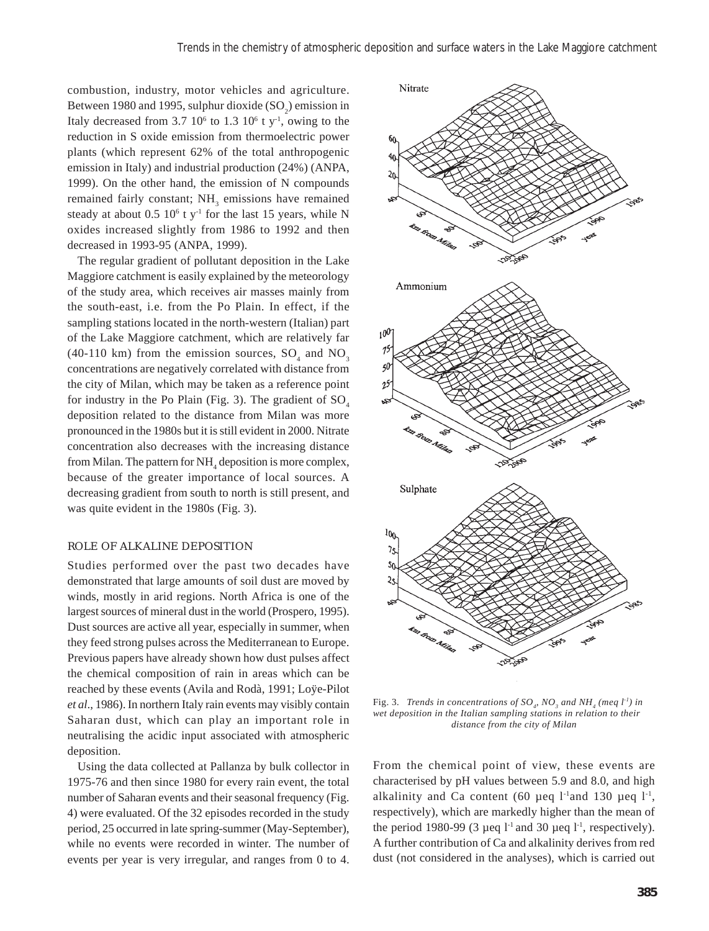combustion, industry, motor vehicles and agriculture. Between 1980 and 1995, sulphur dioxide  $(SO_2)$  emission in Italy decreased from  $3.7 \times 10^6$  to  $1.3 \times 10^6$  t y<sup>-1</sup>, owing to the reduction in S oxide emission from thermoelectric power plants (which represent 62% of the total anthropogenic emission in Italy) and industrial production (24%) (ANPA, 1999). On the other hand, the emission of N compounds remained fairly constant; NH<sub>3</sub> emissions have remained steady at about  $0.5 \times 10^6$  t y<sup>-1</sup> for the last 15 years, while N oxides increased slightly from 1986 to 1992 and then decreased in 1993-95 (ANPA, 1999).

The regular gradient of pollutant deposition in the Lake Maggiore catchment is easily explained by the meteorology of the study area, which receives air masses mainly from the south-east, i.e. from the Po Plain. In effect, if the sampling stations located in the north-western (Italian) part of the Lake Maggiore catchment, which are relatively far (40-110 km) from the emission sources,  $SO_4$  and  $NO_3$ concentrations are negatively correlated with distance from the city of Milan, which may be taken as a reference point for industry in the Po Plain (Fig. 3). The gradient of  $SO<sub>4</sub>$ deposition related to the distance from Milan was more pronounced in the 1980s but it is still evident in 2000. Nitrate concentration also decreases with the increasing distance from Milan. The pattern for  $NH<sub>4</sub>$  deposition is more complex, because of the greater importance of local sources. A decreasing gradient from south to north is still present, and was quite evident in the 1980s (Fig. 3).

#### ROLE OF ALKALINE DEPOSITION

Studies performed over the past two decades have demonstrated that large amounts of soil dust are moved by winds, mostly in arid regions. North Africa is one of the largest sources of mineral dust in the world (Prospero, 1995). Dust sources are active all year, especially in summer, when they feed strong pulses across the Mediterranean to Europe. Previous papers have already shown how dust pulses affect the chemical composition of rain in areas which can be reached by these events (Avila and Rodà, 1991; Loÿe-Pilot *et al*., 1986). In northern Italy rain events may visibly contain Saharan dust, which can play an important role in neutralising the acidic input associated with atmospheric deposition.

Using the data collected at Pallanza by bulk collector in 1975-76 and then since 1980 for every rain event, the total number of Saharan events and their seasonal frequency (Fig. 4) were evaluated. Of the 32 episodes recorded in the study period, 25 occurred in late spring-summer (May-September), while no events were recorded in winter. The number of events per year is very irregular, and ranges from 0 to 4.



Fig. 3. Trends in concentrations of  $SO_{q}$ ,  $NO_{3}$  and  $NH_{4}$  (meq  $l^{1}$ ) in *wet deposition in the Italian sampling stations in relation to their distance from the city of Milan*

From the chemical point of view, these events are characterised by pH values between 5.9 and 8.0, and high alkalinity and Ca content (60 µeq  $1$ <sup>-1</sup>and 130 µeq  $1$ <sup>-1</sup>, respectively), which are markedly higher than the mean of the period 1980-99 (3 µeq  $1<sup>-1</sup>$  and 30 µeq  $1<sup>-1</sup>$ , respectively). A further contribution of Ca and alkalinity derives from red dust (not considered in the analyses), which is carried out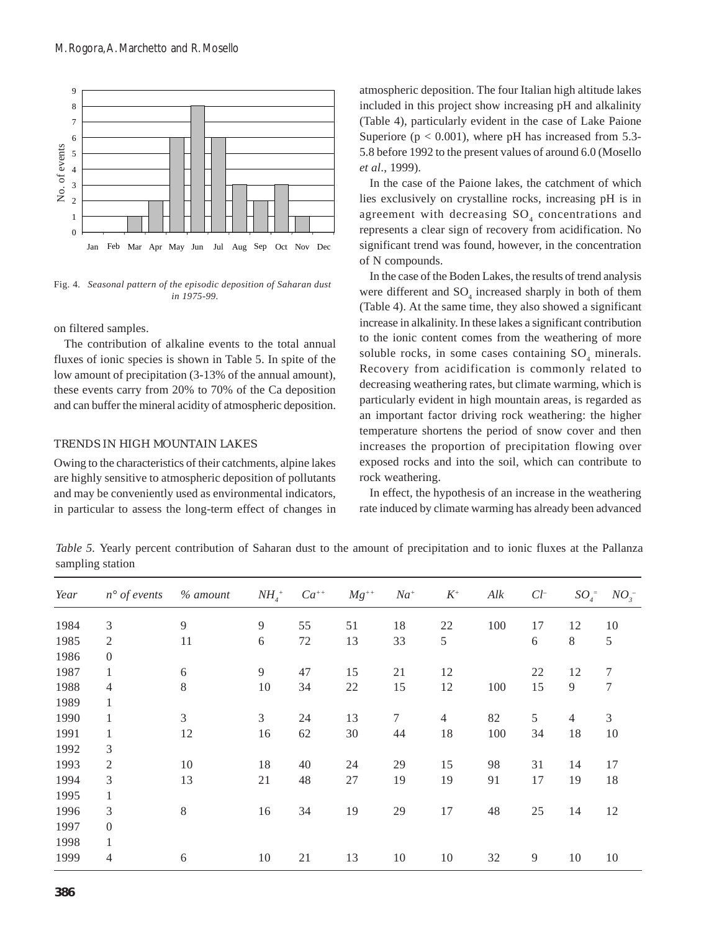

Fig. 4*. Seasonal pattern of the episodic deposition of Saharan dust in 1975-99.*

on filtered samples.

The contribution of alkaline events to the total annual fluxes of ionic species is shown in Table 5. In spite of the low amount of precipitation (3-13% of the annual amount), these events carry from 20% to 70% of the Ca deposition and can buffer the mineral acidity of atmospheric deposition.

#### TRENDS IN HIGH MOUNTAIN LAKES

Owing to the characteristics of their catchments, alpine lakes are highly sensitive to atmospheric deposition of pollutants and may be conveniently used as environmental indicators, in particular to assess the long-term effect of changes in atmospheric deposition. The four Italian high altitude lakes included in this project show increasing pH and alkalinity (Table 4), particularly evident in the case of Lake Paione Superiore ( $p < 0.001$ ), where pH has increased from 5.3-5.8 before 1992 to the present values of around 6.0 (Mosello *et al*., 1999).

In the case of the Paione lakes, the catchment of which lies exclusively on crystalline rocks, increasing pH is in agreement with decreasing  ${SO_4}$  concentrations and represents a clear sign of recovery from acidification. No significant trend was found, however, in the concentration of N compounds.

In the case of the Boden Lakes, the results of trend analysis were different and  $SO_4$  increased sharply in both of them (Table 4). At the same time, they also showed a significant increase in alkalinity. In these lakes a significant contribution to the ionic content comes from the weathering of more soluble rocks, in some cases containing  $SO_4$  minerals. Recovery from acidification is commonly related to decreasing weathering rates, but climate warming, which is particularly evident in high mountain areas, is regarded as an important factor driving rock weathering: the higher temperature shortens the period of snow cover and then increases the proportion of precipitation flowing over exposed rocks and into the soil, which can contribute to rock weathering.

In effect, the hypothesis of an increase in the weathering rate induced by climate warming has already been advanced

*Table 5.* Yearly percent contribution of Saharan dust to the amount of precipitation and to ionic fluxes at the Pallanza sampling station

| Year | $n^{\circ}$ of events | $%$ amount | $NH_{4}$ <sup>+</sup> | $Ca^{++}$ | $Mg^{++}$ | $Na^{+}$ | $K^{\scriptscriptstyle +}$ | Alk | ${\cal C}l^-$  | $SO_4^-$ | $NO_{3}^{-}$     |
|------|-----------------------|------------|-----------------------|-----------|-----------|----------|----------------------------|-----|----------------|----------|------------------|
| 1984 | 3                     | 9          | $\overline{9}$        | 55        | 51        | 18       | 22                         | 100 | 17             | 12       | 10               |
| 1985 | $\overline{2}$        | 11         | $\sqrt{6}$            | $72\,$    | 13        | 33       | 5                          |     | 6              | $8\,$    | 5                |
| 1986 | $\overline{0}$        |            |                       |           |           |          |                            |     |                |          |                  |
| 1987 | $\mathbf{1}$          | 6          | 9                     | 47        | 15        | 21       | 12                         |     | 22             | 12       | $\sqrt{ }$       |
| 1988 | $\overline{4}$        | 8          | 10                    | 34        | $22\,$    | 15       | 12                         | 100 | 15             | 9        | $\boldsymbol{7}$ |
| 1989 | $\mathbf{1}$          |            |                       |           |           |          |                            |     |                |          |                  |
| 1990 | $\mathbf{1}$          | 3          | $\mathfrak{Z}$        | 24        | 13        | 7        | $\overline{4}$             | 82  | 5              | 4        | 3                |
| 1991 | 1                     | 12         | 16                    | 62        | $30\,$    | 44       | 18                         | 100 | 34             | 18       | 10               |
| 1992 | 3                     |            |                       |           |           |          |                            |     |                |          |                  |
| 1993 | $\mathfrak{2}$        | 10         | 18                    | 40        | 24        | 29       | 15                         | 98  | 31             | 14       | 17               |
| 1994 | 3                     | 13         | 21                    | 48        | $27\,$    | 19       | 19                         | 91  | 17             | 19       | 18               |
| 1995 | $\mathbf{1}$          |            |                       |           |           |          |                            |     |                |          |                  |
| 1996 | 3                     | 8          | 16                    | 34        | 19        | 29       | 17                         | 48  | 25             | 14       | 12               |
| 1997 | $\overline{0}$        |            |                       |           |           |          |                            |     |                |          |                  |
| 1998 | $\mathbf{1}$          |            |                       |           |           |          |                            |     |                |          |                  |
| 1999 | $\overline{4}$        | 6          | 10                    | 21        | 13        | 10       | 10                         | 32  | $\overline{9}$ | 10       | 10               |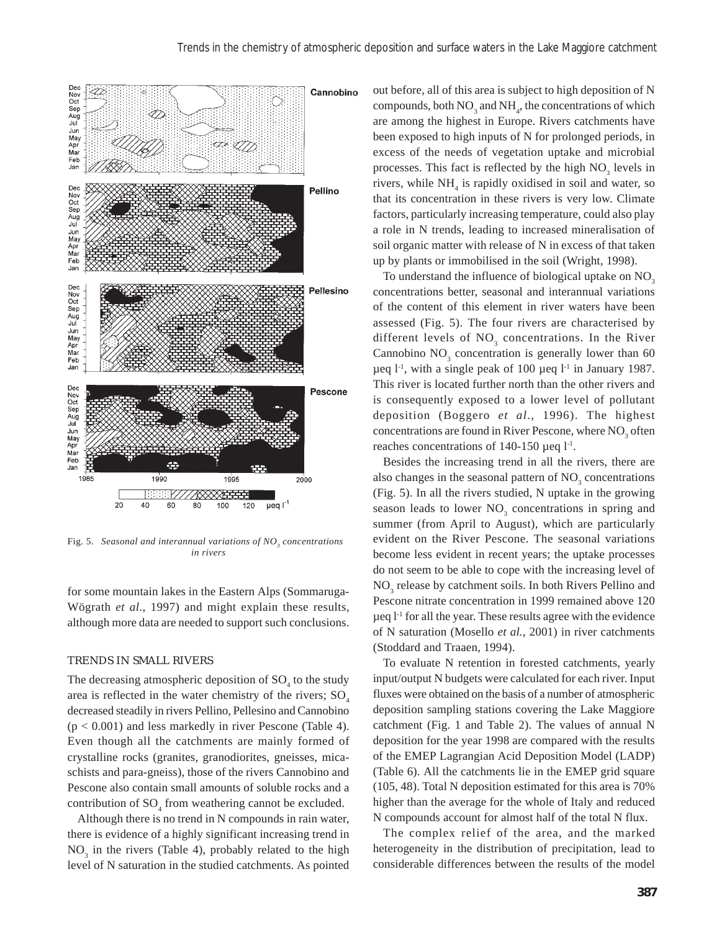

Fig. 5. Seasonal and interannual variations of NO<sub>3</sub> concentrations *in rivers*

for some mountain lakes in the Eastern Alps (Sommaruga-Wögrath *et al*., 1997) and might explain these results, although more data are needed to support such conclusions.

#### TRENDS IN SMALL RIVERS

The decreasing atmospheric deposition of  $SO_4$  to the study area is reflected in the water chemistry of the rivers;  $SO<sub>4</sub>$ decreased steadily in rivers Pellino, Pellesino and Cannobino  $(p < 0.001)$  and less markedly in river Pescone (Table 4). Even though all the catchments are mainly formed of crystalline rocks (granites, granodiorites, gneisses, micaschists and para-gneiss), those of the rivers Cannobino and Pescone also contain small amounts of soluble rocks and a contribution of  $SO_4$  from weathering cannot be excluded.

Although there is no trend in N compounds in rain water, there is evidence of a highly significant increasing trend in  $NO<sub>3</sub>$  in the rivers (Table 4), probably related to the high level of N saturation in the studied catchments. As pointed

out before, all of this area is subject to high deposition of N compounds, both  $NO_3$  and  $NH_4$ , the concentrations of which are among the highest in Europe. Rivers catchments have been exposed to high inputs of N for prolonged periods, in excess of the needs of vegetation uptake and microbial processes. This fact is reflected by the high  $NO<sub>3</sub>$  levels in rivers, while  $NH<sub>4</sub>$  is rapidly oxidised in soil and water, so that its concentration in these rivers is very low. Climate factors, particularly increasing temperature, could also play a role in N trends, leading to increased mineralisation of soil organic matter with release of N in excess of that taken up by plants or immobilised in the soil (Wright, 1998).

To understand the influence of biological uptake on  $NO<sub>3</sub>$ concentrations better, seasonal and interannual variations of the content of this element in river waters have been assessed (Fig. 5). The four rivers are characterised by different levels of  $NO_3$  concentrations. In the River Cannobino  $NO<sub>3</sub>$  concentration is generally lower than 60  $\mu$ eq 1<sup>-1</sup>, with a single peak of 100  $\mu$ eq 1<sup>-1</sup> in January 1987. This river is located further north than the other rivers and is consequently exposed to a lower level of pollutant deposition (Boggero *et al*., 1996). The highest concentrations are found in River Pescone, where  $NO<sub>3</sub>$  often reaches concentrations of 140-150  $\mu$ eq l<sup>-1</sup>.

Besides the increasing trend in all the rivers, there are also changes in the seasonal pattern of  $NO<sub>3</sub>$  concentrations (Fig. 5). In all the rivers studied, N uptake in the growing season leads to lower  $NO<sub>3</sub>$  concentrations in spring and summer (from April to August), which are particularly evident on the River Pescone. The seasonal variations become less evident in recent years; the uptake processes do not seem to be able to cope with the increasing level of NO<sub>3</sub> release by catchment soils. In both Rivers Pellino and Pescone nitrate concentration in 1999 remained above 120  $\mu$ eq  $l^{-1}$  for all the year. These results agree with the evidence of N saturation (Mosello *et al.*, 2001) in river catchments (Stoddard and Traaen, 1994).

To evaluate N retention in forested catchments, yearly input/output N budgets were calculated for each river. Input fluxes were obtained on the basis of a number of atmospheric deposition sampling stations covering the Lake Maggiore catchment (Fig. 1 and Table 2). The values of annual N deposition for the year 1998 are compared with the results of the EMEP Lagrangian Acid Deposition Model (LADP) (Table 6). All the catchments lie in the EMEP grid square (105, 48). Total N deposition estimated for this area is 70% higher than the average for the whole of Italy and reduced N compounds account for almost half of the total N flux.

The complex relief of the area, and the marked heterogeneity in the distribution of precipitation, lead to considerable differences between the results of the model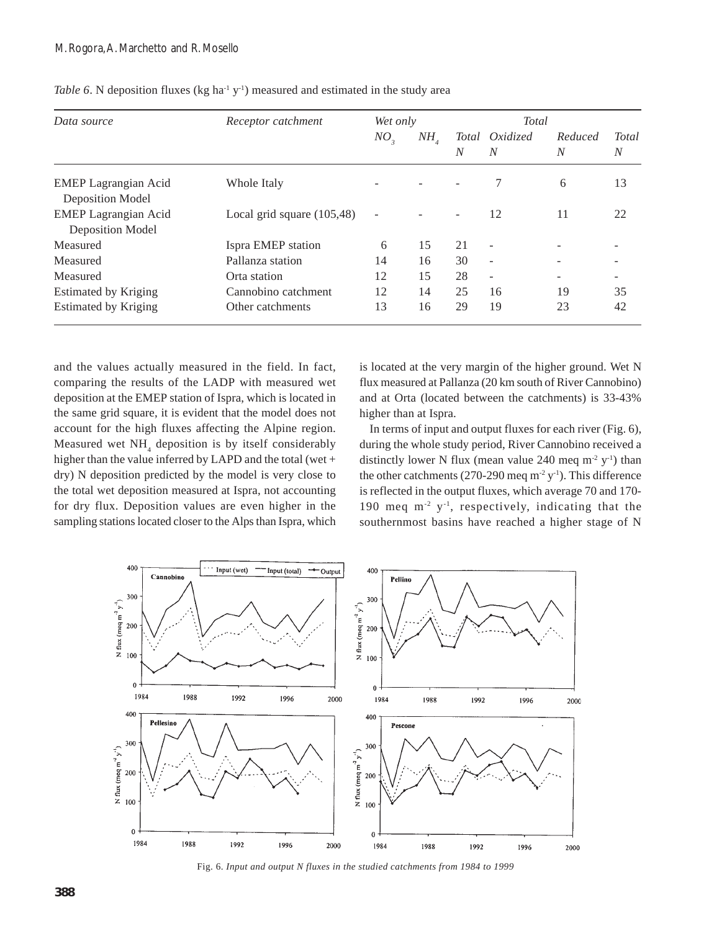| Data source                                            | Receptor catchment           | Wet only                 |                |    | Total                    |              |                                  |
|--------------------------------------------------------|------------------------------|--------------------------|----------------|----|--------------------------|--------------|----------------------------------|
|                                                        |                              | NO <sub>3</sub>          | $NH_{\Lambda}$ | N  | Total Oxidized<br>N      | Reduced<br>N | <b>Total</b><br>$\boldsymbol{N}$ |
| <b>EMEP Lagrangian Acid</b><br>Deposition Model        | Whole Italy                  |                          |                |    |                          | 6            | 13                               |
| <b>EMEP</b> Lagrangian Acid<br><b>Deposition Model</b> | Local grid square $(105,48)$ | $\overline{\phantom{a}}$ |                |    | 12                       | 11           | 22                               |
| Measured                                               | Ispra EMEP station           | 6                        | 15             | 21 | $\overline{\phantom{a}}$ |              |                                  |
| Measured                                               | Pallanza station             | 14                       | 16             | 30 | $\overline{\phantom{a}}$ |              |                                  |
| Measured                                               | Orta station                 | 12                       | 15             | 28 | ٠                        |              |                                  |
| <b>Estimated by Kriging</b>                            | Cannobino catchment          | 12                       | 14             | 25 | 16                       | 19           | 35                               |
| <b>Estimated by Kriging</b>                            | Other catchments             | 13                       | 16             | 29 | 19                       | 23           | 42                               |

*Table 6*. N deposition fluxes (kg ha<sup>-1</sup> y<sup>-1</sup>) measured and estimated in the study area

and the values actually measured in the field. In fact, comparing the results of the LADP with measured wet deposition at the EMEP station of Ispra, which is located in the same grid square, it is evident that the model does not account for the high fluxes affecting the Alpine region. Measured wet NH<sub>4</sub> deposition is by itself considerably higher than the value inferred by LAPD and the total (wet + dry) N deposition predicted by the model is very close to the total wet deposition measured at Ispra, not accounting for dry flux. Deposition values are even higher in the sampling stations located closer to the Alps than Ispra, which is located at the very margin of the higher ground. Wet N flux measured at Pallanza (20 km south of River Cannobino) and at Orta (located between the catchments) is 33-43% higher than at Ispra.

In terms of input and output fluxes for each river (Fig. 6), during the whole study period, River Cannobino received a distinctly lower N flux (mean value 240 meq  $m^2$  y<sup>-1</sup>) than the other catchments (270-290 meq  $m^2 y^{-1}$ ). This difference is reflected in the output fluxes, which average 70 and 170- 190 meq m-2 y-1, respectively, indicating that the southernmost basins have reached a higher stage of N



Fig. 6. *Input and output N fluxes in the studied catchments from 1984 to 1999*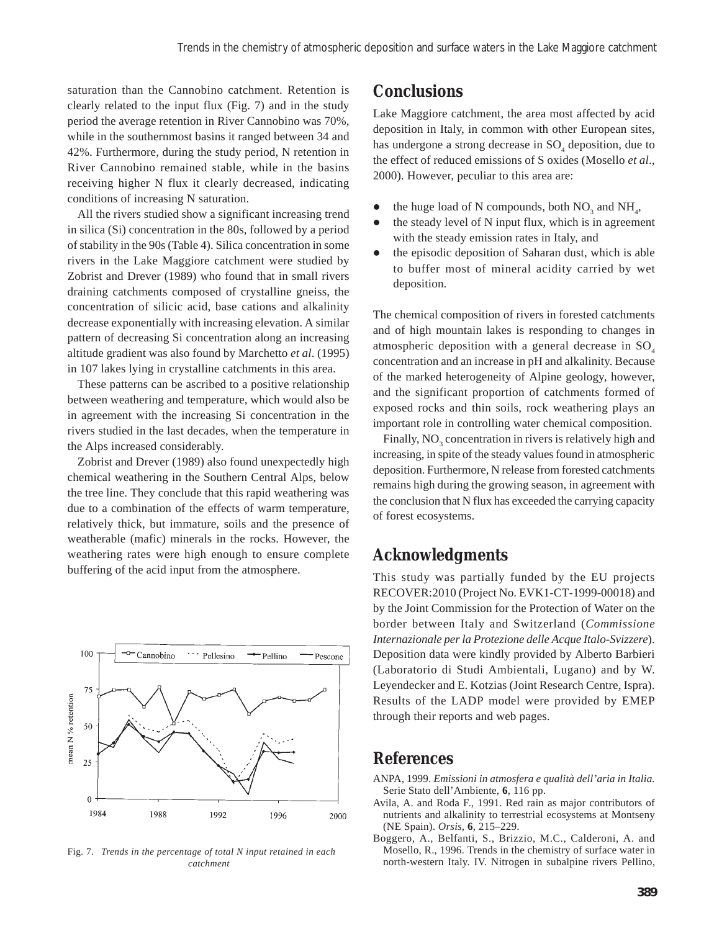saturation than the Cannobino catchment. Retention is clearly related to the input flux (Fig. 7) and in the study period the average retention in River Cannobino was 70%, while in the southernmost basins it ranged between 34 and 42%. Furthermore, during the study period, N retention in River Cannobino remained stable, while in the basins receiving higher N flux it clearly decreased, indicating conditions of increasing N saturation.

All the rivers studied show a significant increasing trend in silica (Si) concentration in the 80s, followed by a period of stability in the 90s (Table 4). Silica concentration in some rivers in the Lake Maggiore catchment were studied by Zobrist and Drever (1989) who found that in small rivers draining catchments composed of crystalline gneiss, the concentration of silicic acid, base cations and alkalinity decrease exponentially with increasing elevation. A similar pattern of decreasing Si concentration along an increasing altitude gradient was also found by Marchetto *et al*. (1995) in 107 lakes lying in crystalline catchments in this area.

These patterns can be ascribed to a positive relationship between weathering and temperature, which would also be in agreement with the increasing Si concentration in the rivers studied in the last decades, when the temperature in the Alps increased considerably.

Zobrist and Drever (1989) also found unexpectedly high chemical weathering in the Southern Central Alps, below the tree line. They conclude that this rapid weathering was due to a combination of the effects of warm temperature, relatively thick, but immature, soils and the presence of weatherable (mafic) minerals in the rocks. However, the weathering rates were high enough to ensure complete buffering of the acid input from the atmosphere.



Fig. 7. *Trends in the percentage of total N input retained in each catchment*

# **Conclusions**

Lake Maggiore catchment, the area most affected by acid deposition in Italy, in common with other European sites, has undergone a strong decrease in  $SO<sub>4</sub>$  deposition, due to the effect of reduced emissions of S oxides (Mosello *et al*., 2000). However, peculiar to this area are:

- the huge load of N compounds, both  $NO_3$  and  $NH_4$ ,
- the steady level of N input flux, which is in agreement with the steady emission rates in Italy, and
- $\bullet$  the episodic deposition of Saharan dust, which is able to buffer most of mineral acidity carried by wet deposition.

The chemical composition of rivers in forested catchments and of high mountain lakes is responding to changes in atmospheric deposition with a general decrease in  $SO<sub>4</sub>$ concentration and an increase in pH and alkalinity. Because of the marked heterogeneity of Alpine geology, however, and the significant proportion of catchments formed of exposed rocks and thin soils, rock weathering plays an important role in controlling water chemical composition.

Finally,  $NO_3$  concentration in rivers is relatively high and increasing, in spite of the steady values found in atmospheric deposition. Furthermore, N release from forested catchments remains high during the growing season, in agreement with the conclusion that N flux has exceeded the carrying capacity of forest ecosystems.

# **Acknowledgments**

This study was partially funded by the EU projects RECOVER:2010 (Project No. EVK1-CT-1999-00018) and by the Joint Commission for the Protection of Water on the border between Italy and Switzerland (*Commissione Internazionale per la Protezione delle Acque Italo-Svizzere*). Deposition data were kindly provided by Alberto Barbieri (Laboratorio di Studi Ambientali, Lugano) and by W. Leyendecker and E. Kotzias (Joint Research Centre, Ispra). Results of the LADP model were provided by EMEP through their reports and web pages.

## **References**

- ANPA, 1999. *Emissioni in atmosfera e qualità dell'aria in Italia.* Serie Stato dell'Ambiente, **6**, 116 pp.
- Avila, A. and Roda F., 1991. Red rain as major contributors of nutrients and alkalinity to terrestrial ecosystems at Montseny (NE Spain). *Orsis*, **6**, 215–229.
- Boggero, A., Belfanti, S., Brizzio, M.C., Calderoni, A. and Mosello, R., 1996. Trends in the chemistry of surface water in north-western Italy. IV. Nitrogen in subalpine rivers Pellino,